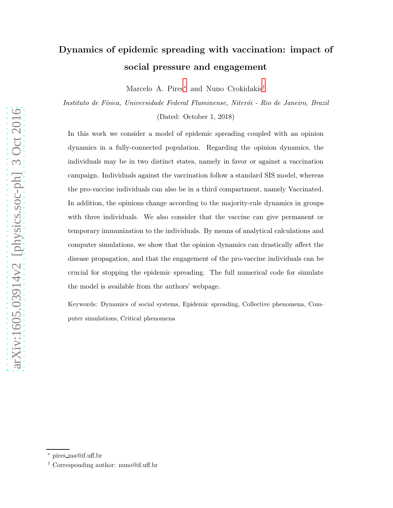# arXiv:1605.03914v2 [physics.soc-ph] 3 Oct 2016 [arXiv:1605.03914v2 \[physics.soc-ph\] 3 Oct 2016](http://arxiv.org/abs/1605.03914v2)

# Dynamics of epidemic spreading with vaccination: impact of social pressure and engagement

Marcelo A. Pires[∗](#page-0-0) and Nuno Crokidakis[†](#page-0-1)

Instituto de Física, Universidade Federal Fluminense, Niterói - Rio de Janeiro, Brazil (Dated: October 1, 2018)

In this work we consider a model of epidemic spreading coupled with an opinion dynamics in a fully-connected population. Regarding the opinion dynamics, the individuals may be in two distinct states, namely in favor or against a vaccination campaign. Individuals against the vaccination follow a standard SIS model, whereas the pro-vaccine individuals can also be in a third compartment, namely Vaccinated. In addition, the opinions change according to the majority-rule dynamics in groups with three individuals. We also consider that the vaccine can give permanent or temporary immunization to the individuals. By means of analytical calculations and computer simulations, we show that the opinion dynamics can drastically affect the disease propagation, and that the engagement of the pro-vaccine individuals can be crucial for stopping the epidemic spreading. The full numerical code for simulate the model is available from the authors' webpage.

Keywords: Dynamics of social systems, Epidemic spreading, Collective phenomena, Computer simulations, Critical phenomena

<span id="page-0-1"></span><span id="page-0-0"></span><sup>∗</sup> pires ma@if.uff.br

<sup>†</sup> Corresponding author: nuno@if.uff.br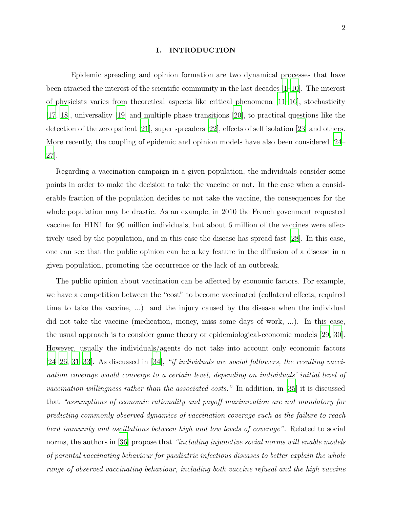### I. INTRODUCTION

Epidemic spreading and opinion formation are two dynamical processes that have been atracted the interest of the scientific community in the last decades [\[1](#page-22-0)[–10\]](#page-23-0). The interest of physicists varies from theoretical aspects like critical phenomena  $[11-16]$ , stochasticity [\[17,](#page-23-3) [18\]](#page-24-0), universality [\[19\]](#page-24-1) and multiple phase transitions [\[20](#page-24-2)], to practical questions like the detection of the zero patient [\[21\]](#page-24-3), super spreaders [\[22\]](#page-24-4), effects of self isolation [\[23\]](#page-24-5) and others. More recently, the coupling of epidemic and opinion models have also been considered [\[24](#page-24-6)– [27\]](#page-24-7).

Regarding a vaccination campaign in a given population, the individuals consider some points in order to make the decision to take the vaccine or not. In the case when a considerable fraction of the population decides to not take the vaccine, the consequences for the whole population may be drastic. As an example, in 2010 the French govenment requested vaccine for H1N1 for 90 million individuals, but about 6 million of the vaccines were effectively used by the population, and in this case the disease has spread fast [\[28](#page-24-8)]. In this case, one can see that the public opinion can be a key feature in the diffusion of a disease in a given population, promoting the occurrence or the lack of an outbreak.

The public opinion about vaccination can be affected by economic factors. For example, we have a competition between the "cost" to become vaccinated (collateral effects, required time to take the vaccine, ...) and the injury caused by the disease when the individual did not take the vaccine (medication, money, miss some days of work, ...). In this case, the usual approach is to consider game theory or epidemiological-economic models [\[29](#page-24-9), [30\]](#page-24-10). However, usually the individuals/agents do not take into account only economic factors [\[24](#page-24-6)[–26,](#page-24-11) [31](#page-24-12)[–33\]](#page-25-0). As discussed in [\[34\]](#page-25-1), "if individuals are social followers, the resulting vaccination coverage would converge to a certain level, depending on individuals' initial level of vaccination willingness rather than the associated costs." In addition, in [\[35\]](#page-25-2) it is discussed that "assumptions of economic rationality and payoff maximization are not mandatory for predicting commonly observed dynamics of vaccination coverage such as the failure to reach herd immunity and oscillations between high and low levels of coverage". Related to social norms, the authors in [\[36](#page-25-3)] propose that "including injunctive social norms will enable models of parental vaccinating behaviour for paediatric infectious diseases to better explain the whole range of observed vaccinating behaviour, including both vaccine refusal and the high vaccine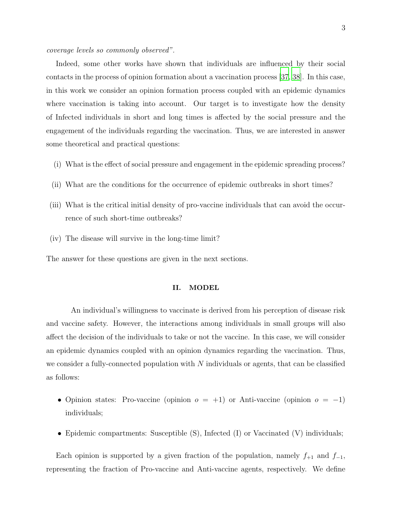coverage levels so commonly observed".

Indeed, some other works have shown that individuals are influenced by their social contacts in the process of opinion formation about a vaccination process [\[37,](#page-25-4) [38\]](#page-25-5). In this case, in this work we consider an opinion formation process coupled with an epidemic dynamics where vaccination is taking into account. Our target is to investigate how the density of Infected individuals in short and long times is affected by the social pressure and the engagement of the individuals regarding the vaccination. Thus, we are interested in answer some theoretical and practical questions:

- (i) What is the effect of social pressure and engagement in the epidemic spreading process?
- (ii) What are the conditions for the occurrence of epidemic outbreaks in short times?
- (iii) What is the critical initial density of pro-vaccine individuals that can avoid the occurrence of such short-time outbreaks?
- (iv) The disease will survive in the long-time limit?

The answer for these questions are given in the next sections.

### II. MODEL

An individual's willingness to vaccinate is derived from his perception of disease risk and vaccine safety. However, the interactions among individuals in small groups will also affect the decision of the individuals to take or not the vaccine. In this case, we will consider an epidemic dynamics coupled with an opinion dynamics regarding the vaccination. Thus, we consider a fully-connected population with  $N$  individuals or agents, that can be classified as follows:

- Opinion states: Pro-vaccine (opinion  $o = +1$ ) or Anti-vaccine (opinion  $o = -1$ ) individuals;
- Epidemic compartments: Susceptible (S), Infected (I) or Vaccinated (V) individuals;

Each opinion is supported by a given fraction of the population, namely  $f_{+1}$  and  $f_{-1}$ , representing the fraction of Pro-vaccine and Anti-vaccine agents, respectively. We define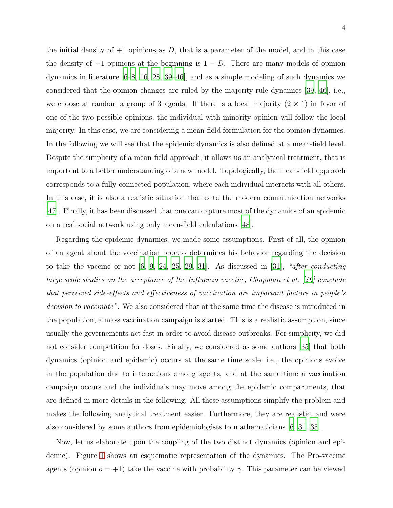the initial density of  $+1$  opinions as D, that is a parameter of the model, and in this case the density of  $-1$  opinions at the beginning is  $1 - D$ . There are many models of opinion dynamics in literature [\[6](#page-23-4)[–8,](#page-23-5) [16,](#page-23-2) [28](#page-24-8), [39](#page-25-6)[–46\]](#page-25-7), and as a simple modeling of such dynamics we considered that the opinion changes are ruled by the majority-rule dynamics [\[39,](#page-25-6) [46\]](#page-25-7), i.e., we choose at random a group of 3 agents. If there is a local majority  $(2 \times 1)$  in favor of one of the two possible opinions, the individual with minority opinion will follow the local majority. In this case, we are considering a mean-field formulation for the opinion dynamics. In the following we will see that the epidemic dynamics is also defined at a mean-field level. Despite the simplicity of a mean-field approach, it allows us an analytical treatment, that is important to a better understanding of a new model. Topologically, the mean-field approach corresponds to a fully-connected population, where each individual interacts with all others. In this case, it is also a realistic situation thanks to the modern communication networks [\[47\]](#page-26-0). Finally, it has been discussed that one can capture most of the dynamics of an epidemic on a real social network using only mean-field calculations [\[48](#page-26-1)].

Regarding the epidemic dynamics, we made some assumptions. First of all, the opinion of an agent about the vaccination process determines his behavior regarding the decision to take the vaccine or not  $[6, 9, 24, 25, 29, 31]$  $[6, 9, 24, 25, 29, 31]$  $[6, 9, 24, 25, 29, 31]$  $[6, 9, 24, 25, 29, 31]$  $[6, 9, 24, 25, 29, 31]$  $[6, 9, 24, 25, 29, 31]$  $[6, 9, 24, 25, 29, 31]$  $[6, 9, 24, 25, 29, 31]$ . As discussed in  $[31]$ , "after conducting large scale studies on the acceptance of the Influenza vaccine, Chapman et al. [\[49](#page-26-2)] conclude that perceived side-effects and effectiveness of vaccination are important factors in people's decision to vaccinate". We also considered that at the same time the disease is introduced in the population, a mass vaccination campaign is started. This is a realistic assumption, since usually the governements act fast in order to avoid disease outbreaks. For simplicity, we did not consider competition for doses. Finally, we considered as some authors [\[35\]](#page-25-2) that both dynamics (opinion and epidemic) occurs at the same time scale, i.e., the opinions evolve in the population due to interactions among agents, and at the same time a vaccination campaign occurs and the individuals may move among the epidemic compartments, that are defined in more details in the following. All these assumptions simplify the problem and makes the following analytical treatment easier. Furthermore, they are realistic, and were also considered by some authors from epidemiologists to mathematicians [\[6,](#page-23-4) [31,](#page-24-12) [35\]](#page-25-2).

Now, let us elaborate upon the coupling of the two distinct dynamics (opinion and epidemic). Figure [1](#page-5-0) shows an esquematic representation of the dynamics. The Pro-vaccine agents (opinion  $o = +1$ ) take the vaccine with probability  $\gamma$ . This parameter can be viewed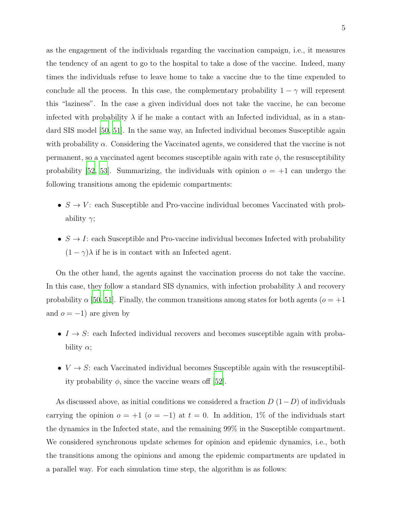as the engagement of the individuals regarding the vaccination campaign, i.e., it measures the tendency of an agent to go to the hospital to take a dose of the vaccine. Indeed, many times the individuals refuse to leave home to take a vaccine due to the time expended to conclude all the process. In this case, the complementary probability  $1 - \gamma$  will represent this "laziness". In the case a given individual does not take the vaccine, he can become infected with probability  $\lambda$  if he make a contact with an Infected individual, as in a standard SIS model [\[50](#page-26-3), [51\]](#page-26-4). In the same way, an Infected individual becomes Susceptible again with probability  $\alpha$ . Considering the Vaccinated agents, we considered that the vaccine is not permanent, so a vaccinated agent becomes susceptible again with rate  $\phi$ , the resusceptibility probability [\[52,](#page-26-5) [53\]](#page-26-6). Summarizing, the individuals with opinion  $o = +1$  can undergo the following transitions among the epidemic compartments:

- $S \to V$ : each Susceptible and Pro-vaccine individual becomes Vaccinated with probability  $\gamma$ ;
- $S \to I$ : each Susceptible and Pro-vaccine individual becomes Infected with probability  $(1 - \gamma)\lambda$  if he is in contact with an Infected agent.

On the other hand, the agents against the vaccination process do not take the vaccine. In this case, they follow a standard SIS dynamics, with infection probability  $\lambda$  and recovery probability  $\alpha$  [\[50](#page-26-3), [51](#page-26-4)]. Finally, the common transitions among states for both agents ( $\alpha = +1$ ) and  $o = -1$ ) are given by

- $I \rightarrow S$ : each Infected individual recovers and becomes susceptible again with probability  $\alpha$ ;
- $V \rightarrow S$ : each Vaccinated individual becomes Susceptible again with the resusceptibility probability  $\phi$ , since the vaccine wears off [\[52\]](#page-26-5).

As discussed above, as initial conditions we considered a fraction  $D(1-D)$  of individuals carrying the opinion  $o = +1$   $(o = -1)$  at  $t = 0$ . In addition, 1% of the individuals start the dynamics in the Infected state, and the remaining 99% in the Susceptible compartment. We considered synchronous update schemes for opinion and epidemic dynamics, i.e., both the transitions among the opinions and among the epidemic compartments are updated in a parallel way. For each simulation time step, the algorithm is as follows: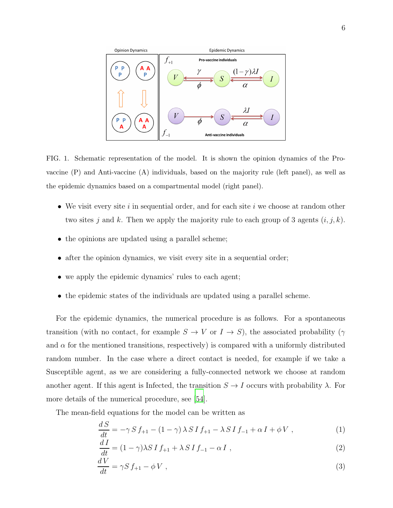

<span id="page-5-0"></span>FIG. 1. Schematic representation of the model. It is shown the opinion dynamics of the Provaccine (P) and Anti-vaccine (A) individuals, based on the majority rule (left panel), as well as the epidemic dynamics based on a compartmental model (right panel).

- We visit every site i in sequential order, and for each site i we choose at random other two sites j and k. Then we apply the majority rule to each group of 3 agents  $(i, j, k)$ .
- the opinions are updated using a parallel scheme;
- after the opinion dynamics, we visit every site in a sequential order;
- we apply the epidemic dynamics' rules to each agent;
- the epidemic states of the individuals are updated using a parallel scheme.

For the epidemic dynamics, the numerical procedure is as follows. For a spontaneous transition (with no contact, for example  $S \to V$  or  $I \to S$ ), the associated probability ( $\gamma$ and  $\alpha$  for the mentioned transitions, respectively) is compared with a uniformly distributed random number. In the case where a direct contact is needed, for example if we take a Susceptible agent, as we are considering a fully-connected network we choose at random another agent. If this agent is Infected, the transition  $S \to I$  occurs with probability  $\lambda$ . For more details of the numerical procedure, see [\[54](#page-26-7)].

The mean-field equations for the model can be written as

<span id="page-5-1"></span>
$$
\frac{dS}{dt} = -\gamma S f_{+1} - (1 - \gamma) \lambda S I f_{+1} - \lambda S I f_{-1} + \alpha I + \phi V , \qquad (1)
$$

$$
\frac{dI}{dt} = (1 - \gamma)\lambda S I f_{+1} + \lambda S I f_{-1} - \alpha I , \qquad (2)
$$

$$
\frac{dV}{dt} = \gamma S f_{+1} - \phi V , \qquad (3)
$$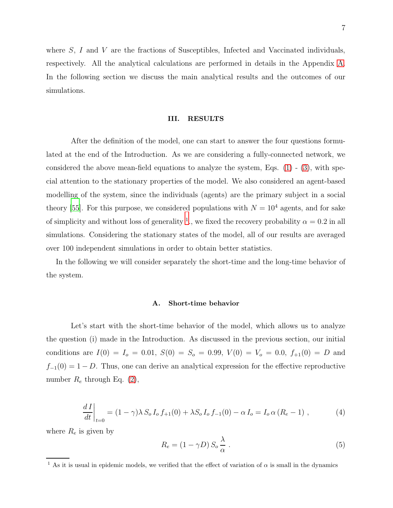where S, I and V are the fractions of Susceptibles, Infected and Vaccinated individuals, respectively. All the analytical calculations are performed in details in the Appendix [A.](#page-20-0) In the following section we discuss the main analytical results and the outcomes of our simulations.

### III. RESULTS

After the definition of the model, one can start to answer the four questions formulated at the end of the Introduction. As we are considering a fully-connected network, we considered the above mean-field equations to analyze the system, Eqs.  $(1)$  -  $(3)$ , with special attention to the stationary properties of the model. We also considered an agent-based modelling of the system, since the individuals (agents) are the primary subject in a social theory [\[55\]](#page-26-8). For this purpose, we considered populations with  $N = 10^4$  agents, and for sake of simplicity and without loss of generality <sup>[1](#page-6-0)</sup>, we fixed the recovery probability  $\alpha = 0.2$  in all simulations. Considering the stationary states of the model, all of our results are averaged over 100 independent simulations in order to obtain better statistics.

In the following we will consider separately the short-time and the long-time behavior of the system.

# A. Short-time behavior

Let's start with the short-time behavior of the model, which allows us to analyze the question (i) made in the Introduction. As discussed in the previous section, our initial conditions are  $I(0) = I_0 = 0.01$ ,  $S(0) = S_0 = 0.99$ ,  $V(0) = V_0 = 0.0$ ,  $f_{+1}(0) = D$  and  $f_{-1}(0) = 1 - D$ . Thus, one can derive an analytical expression for the effective reproductive number  $R_e$  through Eq. [\(2\)](#page-5-1),

<span id="page-6-2"></span>
$$
\left. \frac{dI}{dt} \right|_{t=0} = (1 - \gamma) \lambda S_o I_o f_{+1}(0) + \lambda S_o I_o f_{-1}(0) - \alpha I_o = I_o \alpha (R_e - 1) , \tag{4}
$$

where  $R_e$  is given by

<span id="page-6-1"></span>
$$
R_e = (1 - \gamma D) S_o \frac{\lambda}{\alpha} \,. \tag{5}
$$

<span id="page-6-0"></span><sup>&</sup>lt;sup>1</sup> As it is usual in epidemic models, we verified that the effect of variation of  $\alpha$  is small in the dynamics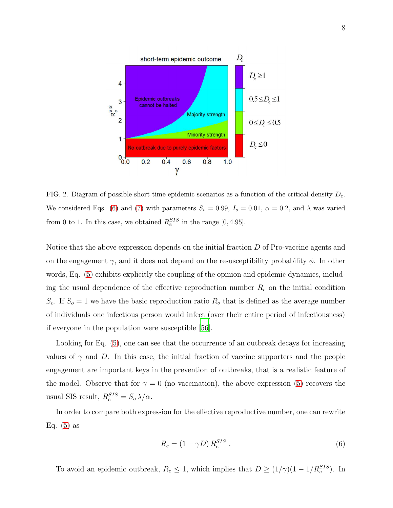

<span id="page-7-1"></span>FIG. 2. Diagram of possible short-time epidemic scenarios as a function of the critical density  $D_c$ . We considered Eqs. [\(6\)](#page-7-0) and [\(7\)](#page-8-0) with parameters  $S_o = 0.99$ ,  $I_o = 0.01$ ,  $\alpha = 0.2$ , and  $\lambda$  was varied from 0 to 1. In this case, we obtained  $R_e^{SIS}$  in the range [0, 4.95].

Notice that the above expression depends on the initial fraction D of Pro-vaccine agents and on the engagement  $\gamma$ , and it does not depend on the resusceptibility probability  $\phi$ . In other words, Eq. [\(5\)](#page-6-1) exhibits explicitly the coupling of the opinion and epidemic dynamics, including the usual dependence of the effective reproduction number  $R_e$  on the initial condition  $S_o$ . If  $S_o = 1$  we have the basic reproduction ratio  $R_o$  that is defined as the average number of individuals one infectious person would infect (over their entire period of infectiousness) if everyone in the population were susceptible [\[56\]](#page-26-9).

Looking for Eq. [\(5\)](#page-6-1), one can see that the occurrence of an outbreak decays for increasing values of  $\gamma$  and D. In this case, the initial fraction of vaccine supporters and the people engagement are important keys in the prevention of outbreaks, that is a realistic feature of the model. Observe that for  $\gamma = 0$  (no vaccination), the above expression [\(5\)](#page-6-1) recovers the usual SIS result,  $R_e^{SIS} = S_o \lambda / \alpha$ .

In order to compare both expression for the effective reproductive number, one can rewrite Eq.  $(5)$  as

<span id="page-7-0"></span>
$$
R_e = (1 - \gamma D) R_e^{SIS} . \tag{6}
$$

To avoid an epidemic outbreak,  $R_e \leq 1$ , which implies that  $D \geq (1/\gamma)(1 - 1/R_e^{SIS})$ . In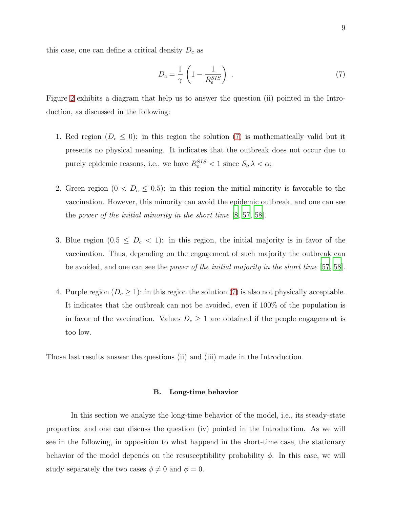<span id="page-8-0"></span>
$$
D_c = \frac{1}{\gamma} \left( 1 - \frac{1}{R_e^{SIS}} \right) \tag{7}
$$

Figure [2](#page-7-1) exhibits a diagram that help us to answer the question (ii) pointed in the Introduction, as discussed in the following:

- 1. Red region  $(D_c \leq 0)$ : in this region the solution [\(7\)](#page-8-0) is mathematically valid but it presents no physical meaning. It indicates that the outbreak does not occur due to purely epidemic reasons, i.e., we have  $R_e^{SIS} < 1$  since  $S_o \lambda < \alpha$ ;
- 2. Green region  $(0 < D_c \le 0.5)$ : in this region the initial minority is favorable to the vaccination. However, this minority can avoid the epidemic outbreak, and one can see the power of the initial minority in the short time [\[8](#page-23-5), [57,](#page-26-10) [58\]](#page-26-11).
- 3. Blue region  $(0.5 \leq D_c < 1)$ : in this region, the initial majority is in favor of the vaccination. Thus, depending on the engagement of such majority the outbreak can be avoided, and one can see the *power of the initial majority in the short time* [\[57](#page-26-10), [58\]](#page-26-11).
- 4. Purple region  $(D_c \geq 1)$ : in this region the solution [\(7\)](#page-8-0) is also not physically acceptable. It indicates that the outbreak can not be avoided, even if 100% of the population is in favor of the vaccination. Values  $D_c \geq 1$  are obtained if the people engagement is too low.

Those last results answer the questions (ii) and (iii) made in the Introduction.

### B. Long-time behavior

In this section we analyze the long-time behavior of the model, i.e., its steady-state properties, and one can discuss the question (iv) pointed in the Introduction. As we will see in the following, in opposition to what happend in the short-time case, the stationary behavior of the model depends on the resusceptibility probability  $\phi$ . In this case, we will study separately the two cases  $\phi \neq 0$  and  $\phi = 0$ .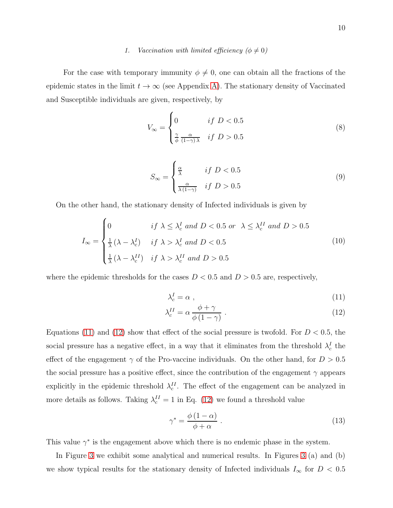# 1. Vaccination with limited efficiency  $(\phi \neq 0)$

For the case with temporary immunity  $\phi \neq 0$ , one can obtain all the fractions of the epidemic states in the limit  $t \to \infty$  (see Appendix [A\)](#page-20-0). The stationary density of Vaccinated and Susceptible individuals are given, respectively, by

$$
V_{\infty} = \begin{cases} 0 & \text{if } D < 0.5\\ \frac{\gamma}{\phi} \frac{\alpha}{(1-\gamma)\lambda} & \text{if } D > 0.5 \end{cases}
$$
(8)

$$
S_{\infty} = \begin{cases} \frac{\alpha}{\lambda} & \text{if } D < 0.5\\ \frac{\alpha}{\lambda (1 - \gamma)} & \text{if } D > 0.5 \end{cases}
$$
(9)

On the other hand, the stationary density of Infected individuals is given by

$$
I_{\infty} = \begin{cases} 0 & \text{if } \lambda \leq \lambda_c^I \text{ and } D < 0.5 \text{ or } \lambda \leq \lambda_c^{II} \text{ and } D > 0.5\\ \frac{1}{\lambda} (\lambda - \lambda_c^I) & \text{if } \lambda > \lambda_c^I \text{ and } D < 0.5\\ \frac{1}{\lambda} (\lambda - \lambda_c^{II}) & \text{if } \lambda > \lambda_c^{II} \text{ and } D > 0.5 \end{cases}
$$
(10)

where the epidemic thresholds for the cases  $D < 0.5$  and  $D > 0.5$  are, respectively,

<span id="page-9-1"></span><span id="page-9-0"></span>
$$
\lambda_c^I = \alpha \tag{11}
$$

$$
\lambda_c^{II} = \alpha \frac{\phi + \gamma}{\phi \left(1 - \gamma\right)}\,. \tag{12}
$$

Equations [\(11\)](#page-9-0) and [\(12\)](#page-9-0) show that effect of the social pressure is twofold. For  $D < 0.5$ , the social pressure has a negative effect, in a way that it eliminates from the threshold  $\lambda_c^I$  the effect of the engagement  $\gamma$  of the Pro-vaccine individuals. On the other hand, for  $D > 0.5$ the social pressure has a positive effect, since the contribution of the engagement  $\gamma$  appears explicitly in the epidemic threshold  $\lambda_c^{II}$ . The effect of the engagement can be analyzed in more details as follows. Taking  $\lambda_c^{II} = 1$  in Eq. [\(12\)](#page-9-0) we found a threshold value

<span id="page-9-2"></span>
$$
\gamma^* = \frac{\phi(1-\alpha)}{\phi+\alpha} \ . \tag{13}
$$

This value  $\gamma^*$  is the engagement above which there is no endemic phase in the system.

In Figure [3](#page-10-0) we exhibit some analytical and numerical results. In Figures [3](#page-10-0) (a) and (b) we show typical results for the stationary density of Infected individuals  $I_{\infty}$  for  $D < 0.5$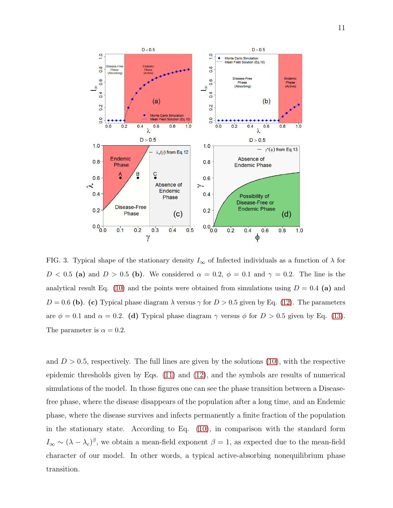

<span id="page-10-0"></span>FIG. 3. Typical shape of the stationary density  $I_{\infty}$  of Infected individuals as a function of  $\lambda$  for  $D < 0.5$  (a) and  $D > 0.5$  (b). We considered  $\alpha = 0.2$ ,  $\phi = 0.1$  and  $\gamma = 0.2$ . The line is the analytical result Eq. [\(10\)](#page-9-1) and the points were obtained from simulations using  $D = 0.4$  (a) and  $D = 0.6$  (b). (c) Typical phase diagram  $\lambda$  versus  $\gamma$  for  $D > 0.5$  given by Eq. [\(12\)](#page-9-0). The parameters are  $\phi = 0.1$  and  $\alpha = 0.2$ . (d) Typical phase diagram  $\gamma$  versus  $\phi$  for  $D > 0.5$  given by Eq. [\(13\)](#page-9-2). The parameter is  $\alpha = 0.2$ .

and  $D > 0.5$ , respectively. The full lines are given by the solutions [\(10\)](#page-9-1), with the respective epidemic thresholds given by Eqs. [\(11\)](#page-9-0) and [\(12\)](#page-9-0), and the symbols are results of numerical simulations of the model. In those figures one can see the phase transition between a Diseasefree phase, where the disease disappears of the population after a long time, and an Endemic phase, where the disease survives and infects permanently a finite fraction of the population in the stationary state. According to Eq. [\(10\)](#page-9-1), in comparison with the standard form  $I_{\infty} \sim (\lambda - \lambda_c)^{\beta}$ , we obtain a mean-field exponent  $\beta = 1$ , as expected due to the mean-field character of our model. In other words, a typical active-absorbing nonequilibrium phase transition.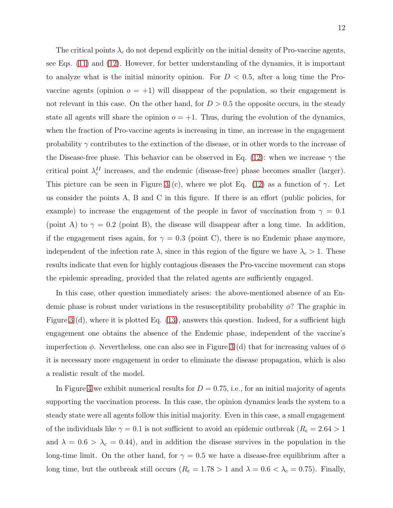The critical points  $\lambda_c$  do not depend explicitly on the initial density of Pro-vaccine agents, see Eqs. [\(11\)](#page-9-0) and [\(12\)](#page-9-0). However, for better understanding of the dynamics, it is important to analyze what is the initial minority opinion. For  $D < 0.5$ , after a long time the Provaccine agents (opinion  $o = +1$ ) will disappear of the population, so their engagement is not relevant in this case. On the other hand, for  $D > 0.5$  the opposite occurs, in the steady state all agents will share the opinion  $o = +1$ . Thus, during the evolution of the dynamics, when the fraction of Pro-vaccine agents is increasing in time, an increase in the engagement probability  $\gamma$  contributes to the extinction of the disease, or in other words to the increase of the Disease-free phase. This behavior can be observed in Eq. [\(12\)](#page-9-0): when we increase  $\gamma$  the critical point  $\lambda_c^{II}$  increases, and the endemic (disease-free) phase becomes smaller (larger). This picture can be seen in Figure [3](#page-10-0) (c), where we plot Eq. [\(12\)](#page-9-0) as a function of  $\gamma$ . Let us consider the points A, B and C in this figure. If there is an effort (public policies, for example) to increase the engagement of the people in favor of vaccination from  $\gamma = 0.1$ (point A) to  $\gamma = 0.2$  (point B), the disease will disappear after a long time. In addition, if the engagement rises again, for  $\gamma = 0.3$  (point C), there is no Endemic phase anymore, independent of the infection rate  $\lambda$ , since in this region of the figure we have  $\lambda_c > 1$ . These results indicate that even for highly contagious diseases the Pro-vaccine movement can stops the epidemic spreading, provided that the related agents are sufficiently engaged.

In this case, other question immediately arises: the above-mentioned absence of an Endemic phase is robust under variations in the resusceptibility probability  $\phi$ ? The graphic in Figure [3](#page-10-0) (d), where it is plotted Eq. [\(13\)](#page-9-2), answers this question. Indeed, for a sufficient high engagement one obtains the absence of the Endemic phase, independent of the vaccine's imperfection  $\phi$ . Nevertheless, one can also see in Figure [3](#page-10-0) (d) that for increasing values of  $\phi$ it is necessary more engagement in order to eliminate the disease propagation, which is also a realistic result of the model.

In Figure [4](#page-12-0) we exhibit numerical results for  $D = 0.75$ , i.e., for an initial majority of agents supporting the vaccination process. In this case, the opinion dynamics leads the system to a steady state were all agents follow this initial majority. Even in this case, a small engagement of the individuals like  $\gamma = 0.1$  is not sufficient to avoid an epidemic outbreak ( $R_e = 2.64 > 1$ ) and  $\lambda = 0.6 > \lambda_c = 0.44$ , and in addition the disease survives in the population in the long-time limit. On the other hand, for  $\gamma = 0.5$  we have a disease-free equilibrium after a long time, but the outbreak still occurs  $(R_e = 1.78 > 1 \text{ and } \lambda = 0.6 < \lambda_c = 0.75)$ . Finally,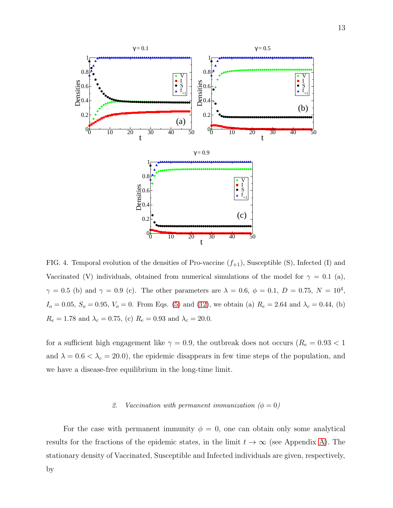

<span id="page-12-0"></span>FIG. 4. Temporal evolution of the densities of Pro-vaccine  $(f_{+1})$ , Susceptible (S), Infected (I) and Vaccinated (V) individuals, obtained from numerical simulations of the model for  $\gamma = 0.1$  (a),  $\gamma = 0.5$  (b) and  $\gamma = 0.9$  (c). The other parameters are  $\lambda = 0.6, \phi = 0.1, D = 0.75, N = 10^4$ ,  $I_o = 0.05, S_o = 0.95, V_o = 0$ . From Eqs. [\(5\)](#page-6-1) and [\(12\)](#page-9-0), we obtain (a)  $R_e = 2.64$  and  $\lambda_c = 0.44$ , (b)  $R_e=1.78$  and  $\lambda_c=0.75,$  (c)  $R_e=0.93$  and  $\lambda_c=20.0.$ 

for a sufficient high engagement like  $\gamma=0.9$ , the outbreak does not occurs  $(R_e=0.93<1$ and  $\lambda = 0.6 < \lambda_c = 20.0$ , the epidemic disappears in few time steps of the population, and we have a disease-free equilibrium in the long-time limit.

## 2. Vaccination with permanent immunization  $(\phi = 0)$

For the case with permanent immunity  $\phi = 0$ , one can obtain only some analytical results for the fractions of the epidemic states, in the limit  $t \to \infty$  (see Appendix [A\)](#page-20-0). The stationary density of Vaccinated, Susceptible and Infected individuals are given, respectively,

by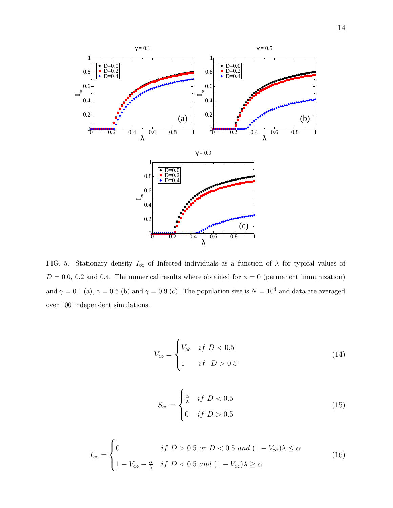

<span id="page-13-2"></span>FIG. 5. Stationary density  $I_{\infty}$  of Infected individuals as a function of  $\lambda$  for typical values of  $D = 0.0, 0.2$  and 0.4. The numerical results where obtained for  $\phi = 0$  (permanent immunization) and  $\gamma = 0.1$  (a),  $\gamma = 0.5$  (b) and  $\gamma = 0.9$  (c). The population size is  $N = 10^4$  and data are averaged over 100 independent simulations.

<span id="page-13-1"></span>
$$
V_{\infty} = \begin{cases} V_{\infty} & if \ D < 0.5 \\ 1 & if \ D > 0.5 \end{cases}
$$
 (14)

<span id="page-13-0"></span>
$$
S_{\infty} = \begin{cases} \frac{\alpha}{\lambda} & \text{if } D < 0.5\\ 0 & \text{if } D > 0.5 \end{cases}
$$
 (15)

$$
I_{\infty} = \begin{cases} 0 & \text{if } D > 0.5 \text{ or } D < 0.5 \text{ and } (1 - V_{\infty})\lambda \le \alpha \\ 1 - V_{\infty} - \frac{\alpha}{\lambda} & \text{if } D < 0.5 \text{ and } (1 - V_{\infty})\lambda \ge \alpha \end{cases}
$$
(16)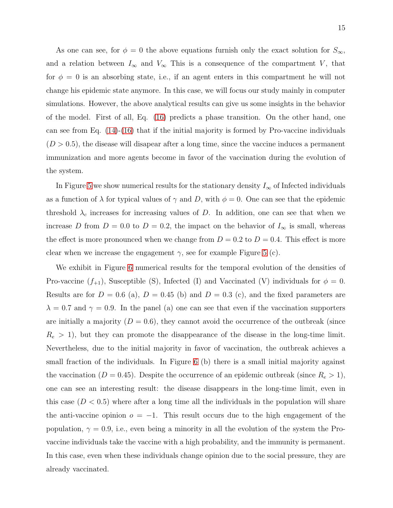As one can see, for  $\phi = 0$  the above equations furnish only the exact solution for  $S_{\infty}$ , and a relation between  $I_{\infty}$  and  $V_{\infty}$ . This is a consequence of the compartment V, that for  $\phi = 0$  is an absorbing state, i.e., if an agent enters in this compartment he will not change his epidemic state anymore. In this case, we will focus our study mainly in computer simulations. However, the above analytical results can give us some insights in the behavior of the model. First of all, Eq. [\(16\)](#page-13-0) predicts a phase transition. On the other hand, one can see from Eq.  $(14)-(16)$  $(14)-(16)$  that if the initial majority is formed by Pro-vaccine individuals  $(D > 0.5)$ , the disease will disapear after a long time, since the vaccine induces a permanent immunization and more agents become in favor of the vaccination during the evolution of the system.

In Figure [5](#page-13-2) we show numerical results for the stationary density  $I_{\infty}$  of Infected individuals as a function of  $\lambda$  for typical values of  $\gamma$  and D, with  $\phi = 0$ . One can see that the epidemic threshold  $\lambda_c$  increases for increasing values of D. In addition, one can see that when we increase D from  $D = 0.0$  to  $D = 0.2$ , the impact on the behavior of  $I_{\infty}$  is small, whereas the effect is more pronounced when we change from  $D = 0.2$  to  $D = 0.4$ . This effect is more clear when we increase the engagement  $\gamma$ , see for example Figure [5](#page-13-2) (c).

We exhibit in Figure [6](#page-15-0) numerical results for the temporal evolution of the densities of Pro-vaccine  $(f_{+1})$ , Susceptible (S), Infected (I) and Vaccinated (V) individuals for  $\phi = 0$ . Results are for  $D = 0.6$  (a),  $D = 0.45$  (b) and  $D = 0.3$  (c), and the fixed parameters are  $\lambda = 0.7$  and  $\gamma = 0.9$ . In the panel (a) one can see that even if the vaccination supporters are initially a majority  $(D = 0.6)$ , they cannot avoid the occurrence of the outbreak (since  $R_e > 1$ , but they can promote the disappearance of the disease in the long-time limit. Nevertheless, due to the initial majority in favor of vaccination, the outbreak achieves a small fraction of the individuals. In Figure [6](#page-15-0) (b) there is a small initial majority against the vaccination ( $D = 0.45$ ). Despite the occurrence of an epidemic outbreak (since  $R_e > 1$ ), one can see an interesting result: the disease disappears in the long-time limit, even in this case  $(D < 0.5)$  where after a long time all the individuals in the population will share the anti-vaccine opinion  $o = -1$ . This result occurs due to the high engagement of the population,  $\gamma = 0.9$ , i.e., even being a minority in all the evolution of the system the Provaccine individuals take the vaccine with a high probability, and the immunity is permanent. In this case, even when these individuals change opinion due to the social pressure, they are already vaccinated.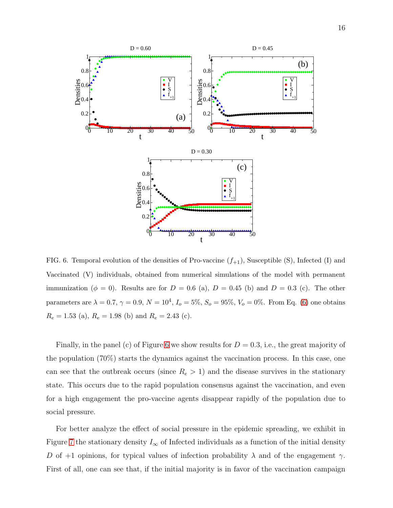

<span id="page-15-0"></span>FIG. 6. Temporal evolution of the densities of Pro-vaccine  $(f_{+1})$ , Susceptible (S), Infected (I) and Vaccinated (V) individuals, obtained from numerical simulations of the model with permanent immunization ( $\phi = 0$ ). Results are for  $D = 0.6$  (a),  $D = 0.45$  (b) and  $D = 0.3$  (c). The other parameters are  $\lambda = 0.7$ ,  $\gamma = 0.9$ ,  $N = 10^4$ ,  $I_o = 5\%$ ,  $S_o = 95\%$ ,  $V_o = 0\%$ . From Eq. [\(6\)](#page-7-0) one obtains  $R_e = 1.53$  (a),  $R_e = 1.98$  (b) and  $R_e = 2.43$  (c).

Finally, in the panel (c) of Figure [6](#page-15-0) we show results for  $D = 0.3$ , i.e., the great majority of the population (70%) starts the dynamics against the vaccination process. In this case, one can see that the outbreak occurs (since  $R_e > 1$ ) and the disease survives in the stationary state. This occurs due to the rapid population consensus against the vaccination, and even for a high engagement the pro-vaccine agents disappear rapidly of the population due to social pressure.

For better analyze the effect of social pressure in the epidemic spreading, we exhibit in Figure [7](#page-16-0) the stationary density  $I_\infty$  of Infected individuals as a function of the initial density D of +1 opinions, for typical values of infection probability  $\lambda$  and of the engagement  $\gamma$ . First of all, one can see that, if the initial majority is in favor of the vaccination campaign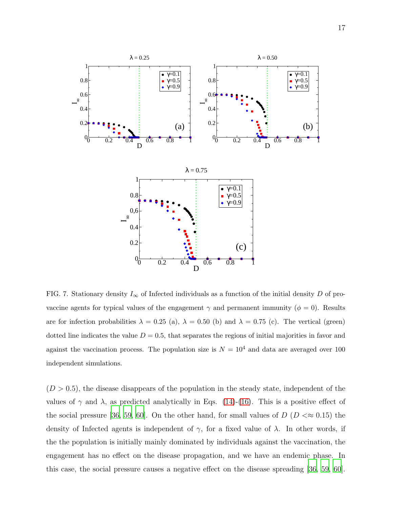

<span id="page-16-0"></span>FIG. 7. Stationary density  $I_{\infty}$  of Infected individuals as a function of the initial density D of provaccine agents for typical values of the engagement  $\gamma$  and permanent immunity ( $\phi = 0$ ). Results are for infection probabilities  $\lambda = 0.25$  (a),  $\lambda = 0.50$  (b) and  $\lambda = 0.75$  (c). The vertical (green) dotted line indicates the value  $D = 0.5$ , that separates the regions of initial majorities in favor and against the vaccination process. The population size is  $N = 10^4$  and data are averaged over 100 independent simulations.

 $(D > 0.5)$ , the disease disappears of the population in the steady state, independent of the values of  $\gamma$  and  $\lambda$ , as predicted analytically in Eqs. [\(14\)](#page-13-1)-[\(16\)](#page-13-0). This is a positive effect of the social pressure [\[36,](#page-25-3) [59,](#page-26-12) [60\]](#page-26-13). On the other hand, for small values of  $D (D \ll 0.15)$  the density of Infected agents is independent of  $\gamma$ , for a fixed value of  $\lambda$ . In other words, if the the population is initially mainly dominated by individuals against the vaccination, the engagement has no effect on the disease propagation, and we have an endemic phase. In this case, the social pressure causes a negative effect on the disease spreading [\[36](#page-25-3), [59,](#page-26-12) [60\]](#page-26-13).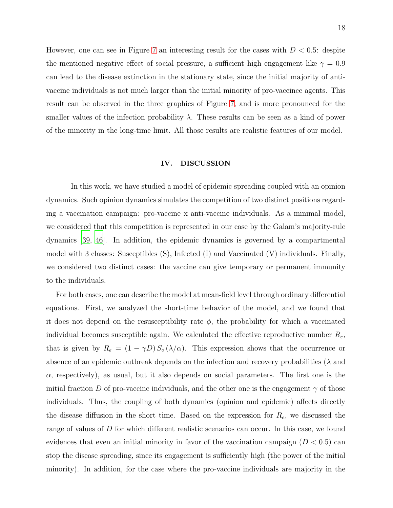However, one can see in Figure [7](#page-16-0) an interesting result for the cases with  $D < 0.5$ : despite the mentioned negative effect of social pressure, a sufficient high engagement like  $\gamma = 0.9$ can lead to the disease extinction in the stationary state, since the initial majority of antivaccine individuals is not much larger than the initial minority of pro-vaccince agents. This result can be observed in the three graphics of Figure [7,](#page-16-0) and is more pronounced for the smaller values of the infection probability  $\lambda$ . These results can be seen as a kind of power of the minority in the long-time limit. All those results are realistic features of our model.

### IV. DISCUSSION

In this work, we have studied a model of epidemic spreading coupled with an opinion dynamics. Such opinion dynamics simulates the competition of two distinct positions regarding a vaccination campaign: pro-vaccine x anti-vaccine individuals. As a minimal model, we considered that this competition is represented in our case by the Galam's majority-rule dynamics [\[39](#page-25-6), [46](#page-25-7)]. In addition, the epidemic dynamics is governed by a compartmental model with 3 classes: Susceptibles (S), Infected (I) and Vaccinated (V) individuals. Finally, we considered two distinct cases: the vaccine can give temporary or permanent immunity to the individuals.

For both cases, one can describe the model at mean-field level through ordinary differential equations. First, we analyzed the short-time behavior of the model, and we found that it does not depend on the resusceptibility rate  $\phi$ , the probability for which a vaccinated individual becomes susceptible again. We calculated the effective reproductive number  $R_e$ , that is given by  $R_e = (1 - \gamma D) S_o (\lambda/\alpha)$ . This expression shows that the occurrence or absence of an epidemic outbreak depends on the infection and recovery probabilities ( $\lambda$  and  $\alpha$ , respectively), as usual, but it also depends on social parameters. The first one is the initial fraction D of pro-vaccine individuals, and the other one is the engagement  $\gamma$  of those individuals. Thus, the coupling of both dynamics (opinion and epidemic) affects directly the disease diffusion in the short time. Based on the expression for  $R_e$ , we discussed the range of values of D for which different realistic scenarios can occur. In this case, we found evidences that even an initial minority in favor of the vaccination campaign  $(D < 0.5)$  can stop the disease spreading, since its engagement is sufficiently high (the power of the initial minority). In addition, for the case where the pro-vaccine individuals are majority in the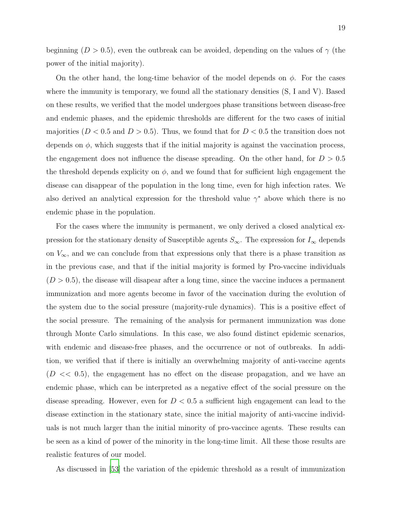beginning ( $D > 0.5$ ), even the outbreak can be avoided, depending on the values of  $\gamma$  (the power of the initial majority).

On the other hand, the long-time behavior of the model depends on  $\phi$ . For the cases where the immunity is temporary, we found all the stationary densities (S, I and V). Based on these results, we verified that the model undergoes phase transitions between disease-free and endemic phases, and the epidemic thresholds are different for the two cases of initial majorities ( $D < 0.5$  and  $D > 0.5$ ). Thus, we found that for  $D < 0.5$  the transition does not depends on  $\phi$ , which suggests that if the initial majority is against the vaccination process, the engagement does not influence the disease spreading. On the other hand, for  $D > 0.5$ the threshold depends explicity on  $\phi$ , and we found that for sufficient high engagement the disease can disappear of the population in the long time, even for high infection rates. We also derived an analytical expression for the threshold value  $\gamma^*$  above which there is no endemic phase in the population.

For the cases where the immunity is permanent, we only derived a closed analytical expression for the stationary density of Susceptible agents  $S_{\infty}$ . The expression for  $I_{\infty}$  depends on  $V_{\infty}$ , and we can conclude from that expressions only that there is a phase transition as in the previous case, and that if the initial majority is formed by Pro-vaccine individuals  $(D > 0.5)$ , the disease will disapear after a long time, since the vaccine induces a permanent immunization and more agents become in favor of the vaccination during the evolution of the system due to the social pressure (majority-rule dynamics). This is a positive effect of the social pressure. The remaining of the analysis for permanent immunization was done through Monte Carlo simulations. In this case, we also found distinct epidemic scenarios, with endemic and disease-free phases, and the occurrence or not of outbreaks. In addition, we verified that if there is initially an overwhelming majority of anti-vaccine agents  $(D \ll 0.5)$ , the engagement has no effect on the disease propagation, and we have an endemic phase, which can be interpreted as a negative effect of the social pressure on the disease spreading. However, even for  $D < 0.5$  a sufficient high engagement can lead to the disease extinction in the stationary state, since the initial majority of anti-vaccine individuals is not much larger than the initial minority of pro-vaccince agents. These results can be seen as a kind of power of the minority in the long-time limit. All these those results are realistic features of our model.

As discussed in [\[53\]](#page-26-6) the variation of the epidemic threshold as a result of immunization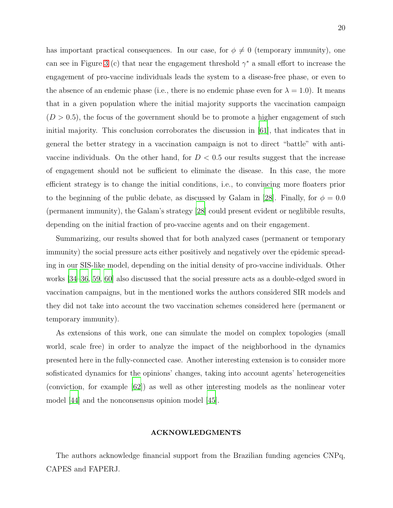has important practical consequences. In our case, for  $\phi \neq 0$  (temporary immunity), one can see in Figure [3](#page-10-0) (c) that near the engagement threshold  $\gamma^*$  a small effort to increase the engagement of pro-vaccine individuals leads the system to a disease-free phase, or even to the absence of an endemic phase (i.e., there is no endemic phase even for  $\lambda = 1.0$ ). It means that in a given population where the initial majority supports the vaccination campaign  $(D > 0.5)$ , the focus of the government should be to promote a higher engagement of such initial majority. This conclusion corroborates the discussion in [\[61\]](#page-26-14), that indicates that in general the better strategy in a vaccination campaign is not to direct "battle" with antivaccine individuals. On the other hand, for  $D < 0.5$  our results suggest that the increase of engagement should not be sufficient to eliminate the disease. In this case, the more efficient strategy is to change the initial conditions, i.e., to convincing more floaters prior to the beginning of the public debate, as discussed by Galam in [\[28](#page-24-8)]. Finally, for  $\phi = 0.0$ (permanent immunity), the Galam's strategy [\[28\]](#page-24-8) could present evident or neglibible results, depending on the initial fraction of pro-vaccine agents and on their engagement.

Summarizing, our results showed that for both analyzed cases (permanent or temporary immunity) the social pressure acts either positively and negatively over the epidemic spreading in our SIS-like model, depending on the initial density of pro-vaccine individuals. Other works [\[34](#page-25-1)[–36,](#page-25-3) [59,](#page-26-12) [60\]](#page-26-13) also discussed that the social pressure acts as a double-edged sword in vaccination campaigns, but in the mentioned works the authors considered SIR models and they did not take into account the two vaccination schemes considered here (permanent or temporary immunity).

As extensions of this work, one can simulate the model on complex topologies (small world, scale free) in order to analyze the impact of the neighborhood in the dynamics presented here in the fully-connected case. Another interesting extension is to consider more sofisticated dynamics for the opinions' changes, taking into account agents' heterogeneities (conviction, for example [\[62](#page-26-15)]) as well as other interesting models as the nonlinear voter model [\[44\]](#page-25-8) and the nonconsensus opinion model [\[45\]](#page-25-9).

## ACKNOWLEDGMENTS

The authors acknowledge financial support from the Brazilian funding agencies CNPq, CAPES and FAPERJ.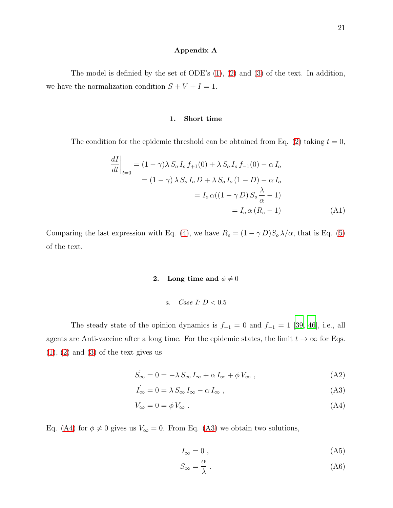# <span id="page-20-0"></span>Appendix A

The model is definied by the set of ODE's [\(1\)](#page-5-1), [\(2\)](#page-5-1) and [\(3\)](#page-5-1) of the text. In addition, we have the normalization condition  $S + V + I = 1$ .

### 1. Short time

The condition for the epidemic threshold can be obtained from Eq. [\(2\)](#page-5-1) taking  $t = 0$ ,

$$
\left. \frac{dI}{dt} \right|_{t=0} = (1 - \gamma) \lambda S_o I_o f_{+1}(0) + \lambda S_o I_o f_{-1}(0) - \alpha I_o
$$

$$
= (1 - \gamma) \lambda S_o I_o D + \lambda S_o I_o (1 - D) - \alpha I_o
$$

$$
= I_o \alpha ((1 - \gamma D) S_o \frac{\lambda}{\alpha} - 1)
$$

$$
= I_o \alpha (R_e - 1) \tag{A1}
$$

Comparing the last expression with Eq. [\(4\)](#page-6-2), we have  $R_e = (1 - \gamma D)S_o \lambda/\alpha$ , that is Eq. [\(5\)](#page-6-1) of the text.

# 2. Long time and  $\phi \neq 0$

a. Case I: 
$$
D < 0.5
$$

The steady state of the opinion dynamics is  $f_{+1} = 0$  and  $f_{-1} = 1$  [\[39](#page-25-6), [46\]](#page-25-7), i.e., all agents are Anti-vaccine after a long time. For the epidemic states, the limit  $t \to \infty$  for Eqs.  $(1), (2)$  $(1), (2)$  $(1), (2)$  and  $(3)$  of the text gives us

<span id="page-20-1"></span>
$$
\dot{S}_{\infty} = 0 = -\lambda \, S_{\infty} \, I_{\infty} + \alpha \, I_{\infty} + \phi \, V_{\infty} \,, \tag{A2}
$$

$$
\dot{I}_{\infty} = 0 = \lambda \, S_{\infty} \, I_{\infty} - \alpha \, I_{\infty} \,, \tag{A3}
$$

$$
\dot{V_{\infty}} = 0 = \phi V_{\infty} \tag{A4}
$$

Eq. [\(A4\)](#page-20-1) for  $\phi \neq 0$  gives us  $V_{\infty} = 0$ . From Eq. [\(A3\)](#page-20-1) we obtain two solutions,

<span id="page-20-2"></span>
$$
I_{\infty} = 0 \tag{A5}
$$

$$
S_{\infty} = \frac{\alpha}{\lambda} \ . \tag{A6}
$$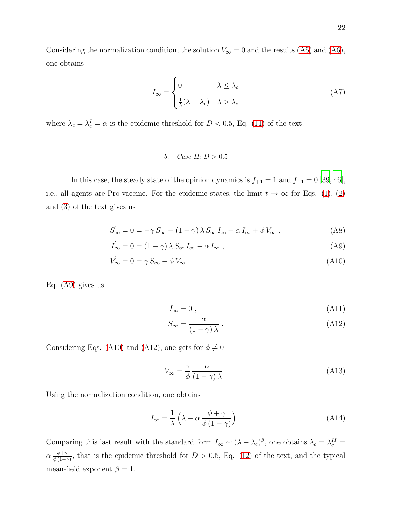Considering the normalization condition, the solution  $V_{\infty} = 0$  and the results [\(A5\)](#page-20-2) and [\(A6\)](#page-20-2), one obtains

$$
I_{\infty} = \begin{cases} 0 & \lambda \leq \lambda_c \\ \frac{1}{\lambda} (\lambda - \lambda_c) & \lambda > \lambda_c \end{cases}
$$
 (A7)

where  $\lambda_c = \lambda_c^I = \alpha$  is the epidemic threshold for  $D < 0.5$ , Eq. [\(11\)](#page-9-0) of the text.

*b.* Case II: 
$$
D > 0.5
$$

In this case, the steady state of the opinion dynamics is  $f_{+1} = 1$  and  $f_{-1} = 0$  [\[39,](#page-25-6) [46\]](#page-25-7), i.e., all agents are Pro-vaccine. For the epidemic states, the limit  $t \to \infty$  for Eqs. [\(1\)](#page-5-1), [\(2\)](#page-5-1) and [\(3\)](#page-5-1) of the text gives us

<span id="page-21-0"></span>
$$
\dot{S}_{\infty} = 0 = -\gamma S_{\infty} - (1 - \gamma) \lambda S_{\infty} I_{\infty} + \alpha I_{\infty} + \phi V_{\infty} , \qquad (A8)
$$

$$
\dot{I}_{\infty} = 0 = (1 - \gamma) \lambda S_{\infty} I_{\infty} - \alpha I_{\infty} , \qquad (A9)
$$

$$
\dot{V}_{\infty} = 0 = \gamma S_{\infty} - \phi V_{\infty} . \tag{A10}
$$

Eq. [\(A9\)](#page-21-0) gives us

<span id="page-21-1"></span>
$$
I_{\infty} = 0 \tag{A11}
$$

$$
S_{\infty} = \frac{\alpha}{(1 - \gamma)\lambda} \tag{A12}
$$

Considering Eqs. [\(A10\)](#page-21-0) and [\(A12\)](#page-21-1), one gets for  $\phi \neq 0$ 

$$
V_{\infty} = \frac{\gamma}{\phi} \frac{\alpha}{(1 - \gamma) \lambda} \ . \tag{A13}
$$

Using the normalization condition, one obtains

$$
I_{\infty} = \frac{1}{\lambda} \left( \lambda - \alpha \frac{\phi + \gamma}{\phi (1 - \gamma)} \right) . \tag{A14}
$$

Comparing this last result with the standard form  $I_{\infty} \sim (\lambda - \lambda_c)^{\beta}$ , one obtains  $\lambda_c = \lambda_c^{II} =$  $\alpha \frac{\phi + \gamma}{\phi (1 - \gamma)}$  $\frac{\varphi+\gamma}{\varphi(1-\gamma)}$ , that is the epidemic threshold for  $D > 0.5$ , Eq. [\(12\)](#page-9-0) of the text, and the typical mean-field exponent  $\beta = 1$ .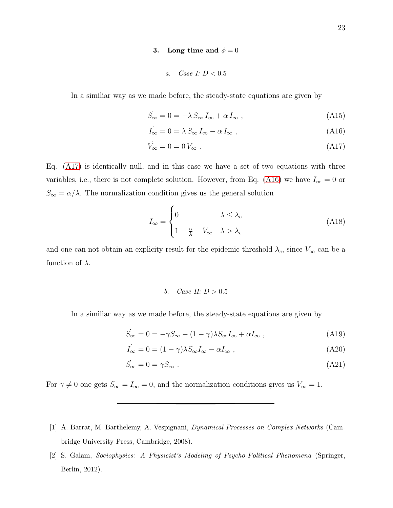### 3. Long time and  $\phi = 0$

a. Case I: 
$$
D < 0.5
$$

In a similiar way as we made before, the steady-state equations are given by

<span id="page-22-1"></span>
$$
\dot{S}_{\infty} = 0 = -\lambda \, S_{\infty} \, I_{\infty} + \alpha \, I_{\infty} \,, \tag{A15}
$$

$$
\dot{I}_{\infty} = 0 = \lambda \, S_{\infty} \, I_{\infty} - \alpha \, I_{\infty} \,, \tag{A16}
$$

$$
\dot{V}_{\infty} = 0 = 0 V_{\infty} \tag{A17}
$$

Eq. [\(A17\)](#page-22-1) is identically null, and in this case we have a set of two equations with three variables, i.e., there is not complete solution. However, from Eq. [\(A16\)](#page-22-1) we have  $I_{\infty} = 0$  or  $S_{\infty} = \alpha/\lambda$ . The normalization condition gives us the general solution

$$
I_{\infty} = \begin{cases} 0 & \lambda \leq \lambda_c \\ 1 - \frac{\alpha}{\lambda} - V_{\infty} & \lambda > \lambda_c \end{cases}
$$
(A18)

and one can not obtain an explicity result for the epidemic threshold  $\lambda_c$ , since  $V_{\infty}$  can be a function of  $\lambda$ .

### b. Case II:  $D > 0.5$

In a similiar way as we made before, the steady-state equations are given by

$$
\dot{S}_{\infty} = 0 = -\gamma S_{\infty} - (1 - \gamma)\lambda S_{\infty} I_{\infty} + \alpha I_{\infty} , \qquad (A19)
$$

$$
\dot{I}_{\infty} = 0 = (1 - \gamma)\lambda S_{\infty} I_{\infty} - \alpha I_{\infty} , \qquad (A20)
$$

$$
\dot{S}_{\infty} = 0 = \gamma S_{\infty} \tag{A21}
$$

For  $\gamma \neq 0$  one gets  $S_{\infty} = I_{\infty} = 0$ , and the normalization conditions gives us  $V_{\infty} = 1$ .

[2] S. Galam, Sociophysics: A Physicist's Modeling of Psycho-Political Phenomena (Springer, Berlin, 2012).

<span id="page-22-0"></span><sup>[1]</sup> A. Barrat, M. Barthelemy, A. Vespignani, Dynamical Processes on Complex Networks (Cambridge University Press, Cambridge, 2008).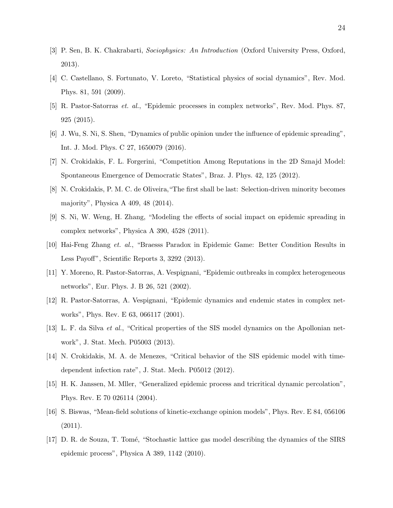- [3] P. Sen, B. K. Chakrabarti, Sociophysics: An Introduction (Oxford University Press, Oxford, 2013).
- [4] C. Castellano, S. Fortunato, V. Loreto, "Statistical physics of social dynamics", Rev. Mod. Phys. 81, 591 (2009).
- [5] R. Pastor-Satorras et. al., "Epidemic processes in complex networks", Rev. Mod. Phys. 87, 925 (2015).
- <span id="page-23-4"></span>[6] J. Wu, S. Ni, S. Shen, "Dynamics of public opinion under the influence of epidemic spreading", Int. J. Mod. Phys. C 27, 1650079 (2016).
- [7] N. Crokidakis, F. L. Forgerini, "Competition Among Reputations in the 2D Sznajd Model: Spontaneous Emergence of Democratic States", Braz. J. Phys. 42, 125 (2012).
- <span id="page-23-5"></span>[8] N. Crokidakis, P. M. C. de Oliveira,"The first shall be last: Selection-driven minority becomes majority", Physica A 409, 48 (2014).
- <span id="page-23-6"></span>[9] S. Ni, W. Weng, H. Zhang, "Modeling the effects of social impact on epidemic spreading in complex networks", Physica A 390, 4528 (2011).
- <span id="page-23-0"></span>[10] Hai-Feng Zhang et. al., "Braesss Paradox in Epidemic Game: Better Condition Results in Less Payoff", Scientific Reports 3, 3292 (2013).
- <span id="page-23-1"></span>[11] Y. Moreno, R. Pastor-Satorras, A. Vespignani, "Epidemic outbreaks in complex heterogeneous networks", Eur. Phys. J. B 26, 521 (2002).
- [12] R. Pastor-Satorras, A. Vespignani, "Epidemic dynamics and endemic states in complex networks", Phys. Rev. E 63, 066117 (2001).
- [13] L. F. da Silva et al., "Critical properties of the SIS model dynamics on the Apollonian network", J. Stat. Mech. P05003 (2013).
- [14] N. Crokidakis, M. A. de Menezes, "Critical behavior of the SIS epidemic model with timedependent infection rate", J. Stat. Mech. P05012 (2012).
- [15] H. K. Janssen, M. Mller, "Generalized epidemic process and tricritical dynamic percolation", Phys. Rev. E 70 026114 (2004).
- <span id="page-23-2"></span>[16] S. Biswas, "Mean-field solutions of kinetic-exchange opinion models", Phys. Rev. E 84, 056106  $(2011).$
- <span id="page-23-3"></span>[17] D. R. de Souza, T. Tom´e, "Stochastic lattice gas model describing the dynamics of the SIRS epidemic process", Physica A 389, 1142 (2010).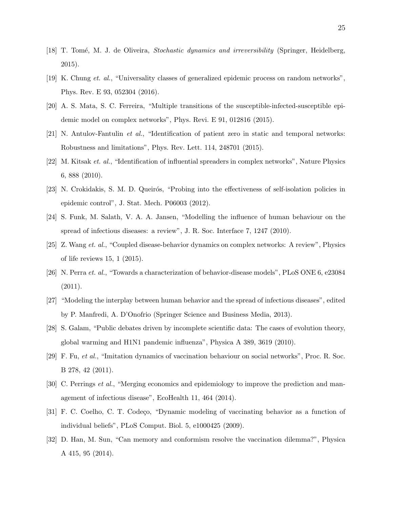- <span id="page-24-0"></span>[18] T. Tomé, M. J. de Oliveira, *Stochastic dynamics and irreversibility* (Springer, Heidelberg, 2015).
- <span id="page-24-1"></span>[19] K. Chung et. al., "Universality classes of generalized epidemic process on random networks", Phys. Rev. E 93, 052304 (2016).
- <span id="page-24-2"></span>[20] A. S. Mata, S. C. Ferreira, "Multiple transitions of the susceptible-infected-susceptible epidemic model on complex networks", Phys. Revi. E 91, 012816 (2015).
- <span id="page-24-3"></span>[21] N. Antulov-Fantulin et al., "Identification of patient zero in static and temporal networks: Robustness and limitations", Phys. Rev. Lett. 114, 248701 (2015).
- <span id="page-24-4"></span>[22] M. Kitsak et. al., "Identification of influential spreaders in complex networks", Nature Physics 6, 888 (2010).
- <span id="page-24-5"></span>[23] N. Crokidakis, S. M. D. Queirós, "Probing into the effectiveness of self-isolation policies in epidemic control", J. Stat. Mech. P06003 (2012).
- <span id="page-24-6"></span>[24] S. Funk, M. Salath, V. A. A. Jansen, "Modelling the influence of human behaviour on the spread of infectious diseases: a review", J. R. Soc. Interface 7, 1247 (2010).
- <span id="page-24-13"></span>[25] Z. Wang et. al., "Coupled disease-behavior dynamics on complex networks: A review", Physics of life reviews 15, 1 (2015).
- <span id="page-24-11"></span>[26] N. Perra et. al., "Towards a characterization of behavior-disease models", PLoS ONE 6, e23084  $(2011).$
- <span id="page-24-7"></span>[27] "Modeling the interplay between human behavior and the spread of infectious diseases", edited by P. Manfredi, A. D'Onofrio (Springer Science and Business Media, 2013).
- <span id="page-24-8"></span>[28] S. Galam, "Public debates driven by incomplete scientific data: The cases of evolution theory, global warming and H1N1 pandemic influenza", Physica A 389, 3619 (2010).
- <span id="page-24-9"></span>[29] F. Fu, et al., "Imitation dynamics of vaccination behaviour on social networks", Proc. R. Soc. B 278, 42 (2011).
- <span id="page-24-10"></span>[30] C. Perrings et al., "Merging economics and epidemiology to improve the prediction and management of infectious disease", EcoHealth 11, 464 (2014).
- <span id="page-24-12"></span>[31] F. C. Coelho, C. T. Codeço, "Dynamic modeling of vaccinating behavior as a function of individual beliefs", PLoS Comput. Biol. 5, e1000425 (2009).
- [32] D. Han, M. Sun, "Can memory and conformism resolve the vaccination dilemma?", Physica A 415, 95 (2014).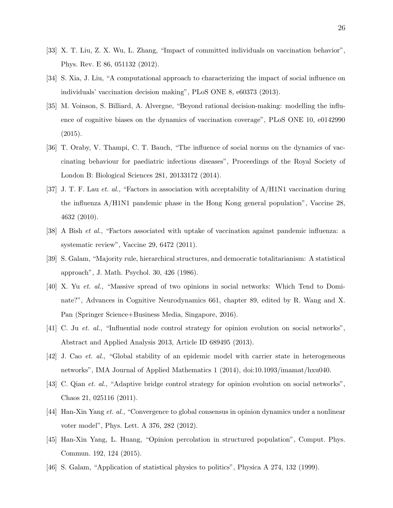- <span id="page-25-0"></span>[33] X. T. Liu, Z. X. Wu, L. Zhang, "Impact of committed individuals on vaccination behavior", Phys. Rev. E 86, 051132 (2012).
- <span id="page-25-1"></span>[34] S. Xia, J. Liu, "A computational approach to characterizing the impact of social influence on individuals' vaccination decision making", PLoS ONE 8, e60373 (2013).
- <span id="page-25-2"></span>[35] M. Voinson, S. Billiard, A. Alvergne, "Beyond rational decision-making: modelling the influence of cognitive biases on the dynamics of vaccination coverage", PLoS ONE 10, e0142990 (2015).
- <span id="page-25-3"></span>[36] T. Oraby, V. Thampi, C. T. Bauch, "The influence of social norms on the dynamics of vaccinating behaviour for paediatric infectious diseases", Proceedings of the Royal Society of London B: Biological Sciences 281, 20133172 (2014).
- <span id="page-25-4"></span>[37] J. T. F. Lau et. al., "Factors in association with acceptability of A/H1N1 vaccination during the influenza A/H1N1 pandemic phase in the Hong Kong general population", Vaccine 28, 4632 (2010).
- <span id="page-25-5"></span>[38] A Bish et al., "Factors associated with uptake of vaccination against pandemic influenza: a systematic review", Vaccine 29, 6472 (2011).
- <span id="page-25-6"></span>[39] S. Galam, "Majority rule, hierarchical structures, and democratic totalitarianism: A statistical approach", J. Math. Psychol. 30, 426 (1986).
- [40] X. Yu et. al., "Massive spread of two opinions in social networks: Which Tend to Dominate?", Advances in Cognitive Neurodynamics 661, chapter 89, edited by R. Wang and X. Pan (Springer Science+Business Media, Singapore, 2016).
- [41] C. Ju et. al., "Influential node control strategy for opinion evolution on social networks", Abstract and Applied Analysis 2013, Article ID 689495 (2013).
- [42] J. Cao et. al., "Global stability of an epidemic model with carrier state in heterogeneous networks", IMA Journal of Applied Mathematics 1 (2014), doi:10.1093/imamat/hxu040.
- [43] C. Qian et. al., "Adaptive bridge control strategy for opinion evolution on social networks", Chaos 21, 025116 (2011).
- <span id="page-25-8"></span>[44] Han-Xin Yang et. al., "Convergence to global consensus in opinion dynamics under a nonlinear voter model", Phys. Lett. A 376, 282 (2012).
- <span id="page-25-9"></span>[45] Han-Xin Yang, L. Huang, "Opinion percolation in structured population", Comput. Phys. Commun. 192, 124 (2015).
- <span id="page-25-7"></span>[46] S. Galam, "Application of statistical physics to politics", Physica A 274, 132 (1999).